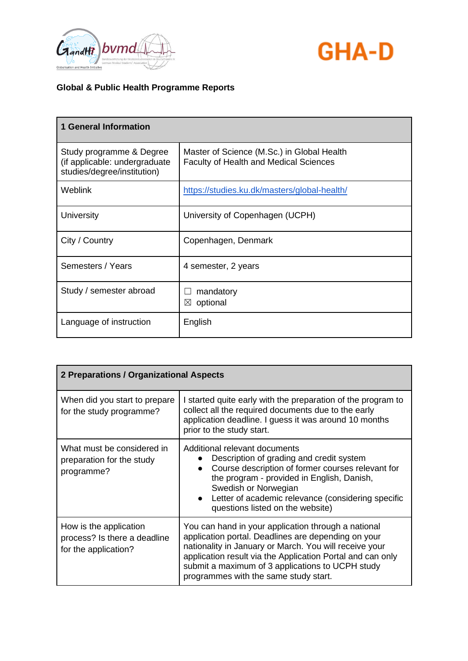



| <b>1 General Information</b>                                                             |                                                                                             |
|------------------------------------------------------------------------------------------|---------------------------------------------------------------------------------------------|
| Study programme & Degree<br>(if applicable: undergraduate<br>studies/degree/institution) | Master of Science (M.Sc.) in Global Health<br><b>Faculty of Health and Medical Sciences</b> |
| <b>Weblink</b>                                                                           | https://studies.ku.dk/masters/global-health/                                                |
| University                                                                               | University of Copenhagen (UCPH)                                                             |
| City / Country                                                                           | Copenhagen, Denmark                                                                         |
| Semesters / Years                                                                        | 4 semester, 2 years                                                                         |
| Study / semester abroad                                                                  | mandatory<br>optional<br>$\boxtimes$                                                        |
| Language of instruction                                                                  | English                                                                                     |

| 2 Preparations / Organizational Aspects                                        |                                                                                                                                                                                                                                                                                                                                 |
|--------------------------------------------------------------------------------|---------------------------------------------------------------------------------------------------------------------------------------------------------------------------------------------------------------------------------------------------------------------------------------------------------------------------------|
| When did you start to prepare<br>for the study programme?                      | I started quite early with the preparation of the program to<br>collect all the required documents due to the early<br>application deadline. I guess it was around 10 months<br>prior to the study start.                                                                                                                       |
| What must be considered in<br>preparation for the study<br>programme?          | Additional relevant documents<br>Description of grading and credit system<br>Course description of former courses relevant for<br>the program - provided in English, Danish,<br>Swedish or Norwegian<br>Letter of academic relevance (considering specific<br>questions listed on the website)                                  |
| How is the application<br>process? Is there a deadline<br>for the application? | You can hand in your application through a national<br>application portal. Deadlines are depending on your<br>nationality in January or March. You will receive your<br>application result via the Application Portal and can only<br>submit a maximum of 3 applications to UCPH study<br>programmes with the same study start. |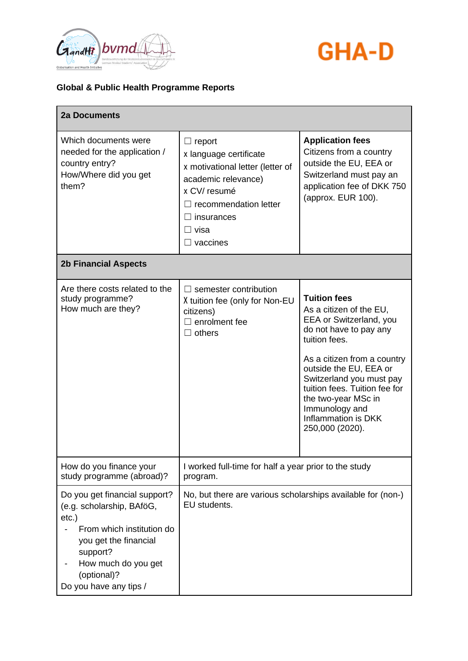



| <b>2a Documents</b>                                                                                                                                                                                      |                                                                                                                                                                                       |                                                                                                                                                                                                                                                                                                                               |
|----------------------------------------------------------------------------------------------------------------------------------------------------------------------------------------------------------|---------------------------------------------------------------------------------------------------------------------------------------------------------------------------------------|-------------------------------------------------------------------------------------------------------------------------------------------------------------------------------------------------------------------------------------------------------------------------------------------------------------------------------|
| Which documents were<br>needed for the application /<br>country entry?<br>How/Where did you get<br>them?                                                                                                 | $\Box$ report<br>x language certificate<br>x motivational letter (letter of<br>academic relevance)<br>x CV/resumé<br>recommendation letter<br>insurances<br>⊟ visa<br>$\Box$ vaccines | <b>Application fees</b><br>Citizens from a country<br>outside the EU, EEA or<br>Switzerland must pay an<br>application fee of DKK 750<br>(approx. EUR 100).                                                                                                                                                                   |
| <b>2b Financial Aspects</b>                                                                                                                                                                              |                                                                                                                                                                                       |                                                                                                                                                                                                                                                                                                                               |
| Are there costs related to the<br>study programme?<br>How much are they?                                                                                                                                 | $\Box$ semester contribution<br>X tuition fee (only for Non-EU<br>citizens)<br>enrolment fee<br>$\Box$ others                                                                         | <b>Tuition fees</b><br>As a citizen of the EU,<br>EEA or Switzerland, you<br>do not have to pay any<br>tuition fees.<br>As a citizen from a country<br>outside the EU, EEA or<br>Switzerland you must pay<br>tuition fees. Tuition fee for<br>the two-year MSc in<br>Immunology and<br>Inflammation is DKK<br>250,000 (2020). |
| How do you finance your<br>study programme (abroad)?                                                                                                                                                     | I worked full-time for half a year prior to the study<br>program.                                                                                                                     |                                                                                                                                                                                                                                                                                                                               |
| Do you get financial support?<br>(e.g. scholarship, BAföG,<br>$etc.$ )<br>From which institution do<br>you get the financial<br>support?<br>How much do you get<br>(optional)?<br>Do you have any tips / | No, but there are various scholarships available for (non-)<br>EU students.                                                                                                           |                                                                                                                                                                                                                                                                                                                               |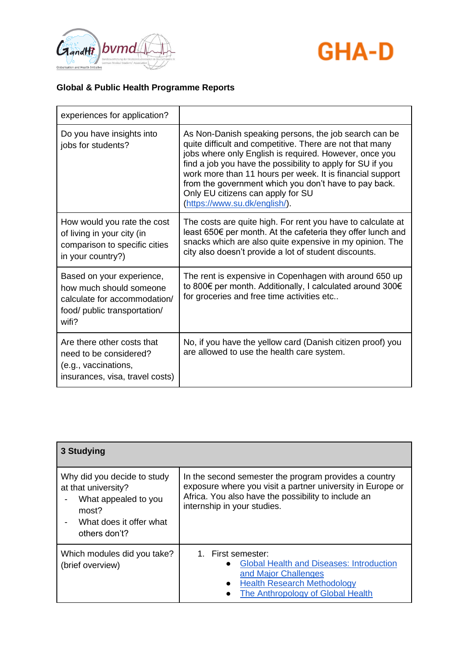



| experiences for application?                                                                                                  |                                                                                                                                                                                                                                                                                                                                                                                                                                       |
|-------------------------------------------------------------------------------------------------------------------------------|---------------------------------------------------------------------------------------------------------------------------------------------------------------------------------------------------------------------------------------------------------------------------------------------------------------------------------------------------------------------------------------------------------------------------------------|
| Do you have insights into<br>jobs for students?                                                                               | As Non-Danish speaking persons, the job search can be<br>quite difficult and competitive. There are not that many<br>jobs where only English is required. However, once you<br>find a job you have the possibility to apply for SU if you<br>work more than 11 hours per week. It is financial support<br>from the government which you don't have to pay back.<br>Only EU citizens can apply for SU<br>(https://www.su.dk/english/). |
| How would you rate the cost<br>of living in your city (in<br>comparison to specific cities<br>in your country?)               | The costs are quite high. For rent you have to calculate at<br>least 650€ per month. At the cafeteria they offer lunch and<br>snacks which are also quite expensive in my opinion. The<br>city also doesn't provide a lot of student discounts.                                                                                                                                                                                       |
| Based on your experience,<br>how much should someone<br>calculate for accommodation/<br>food/ public transportation/<br>wifi? | The rent is expensive in Copenhagen with around 650 up<br>to 800€ per month. Additionally, I calculated around 300€<br>for groceries and free time activities etc                                                                                                                                                                                                                                                                     |
| Are there other costs that<br>need to be considered?<br>(e.g., vaccinations,<br>insurances, visa, travel costs)               | No, if you have the yellow card (Danish citizen proof) you<br>are allowed to use the health care system.                                                                                                                                                                                                                                                                                                                              |

| 3 Studying                                                                                                                      |                                                                                                                                                                                                           |
|---------------------------------------------------------------------------------------------------------------------------------|-----------------------------------------------------------------------------------------------------------------------------------------------------------------------------------------------------------|
| Why did you decide to study<br>at that university?<br>What appealed to you<br>most?<br>What does it offer what<br>others don't? | In the second semester the program provides a country<br>exposure where you visit a partner university in Europe or<br>Africa. You also have the possibility to include an<br>internship in your studies. |
| Which modules did you take?<br>(brief overview)                                                                                 | 1. First semester:<br><b>Global Health and Diseases: Introduction</b><br>$\bullet$<br>and Major Challenges<br><b>Health Research Methodology</b><br>The Anthropology of Global Health                     |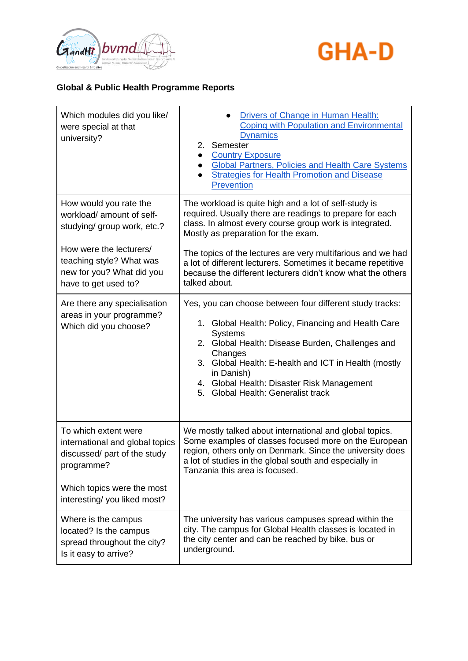



| Which modules did you like/<br>were special at that<br>university?                                       | Drivers of Change in Human Health:<br><b>Coping with Population and Environmental</b><br><b>Dynamics</b><br>Semester<br>2.<br><b>Country Exposure</b><br><b>Global Partners, Policies and Health Care Systems</b><br><b>Strategies for Health Promotion and Disease</b><br><b>Prevention</b>                                                                            |
|----------------------------------------------------------------------------------------------------------|-------------------------------------------------------------------------------------------------------------------------------------------------------------------------------------------------------------------------------------------------------------------------------------------------------------------------------------------------------------------------|
| How would you rate the<br>workload/ amount of self-<br>studying/ group work, etc.?                       | The workload is quite high and a lot of self-study is<br>required. Usually there are readings to prepare for each<br>class. In almost every course group work is integrated.<br>Mostly as preparation for the exam.                                                                                                                                                     |
| How were the lecturers/<br>teaching style? What was<br>new for you? What did you<br>have to get used to? | The topics of the lectures are very multifarious and we had<br>a lot of different lecturers. Sometimes it became repetitive<br>because the different lecturers didn't know what the others<br>talked about.                                                                                                                                                             |
| Are there any specialisation<br>areas in your programme?<br>Which did you choose?                        | Yes, you can choose between four different study tracks:<br>1. Global Health: Policy, Financing and Health Care<br><b>Systems</b><br>Global Health: Disease Burden, Challenges and<br>2.<br>Changes<br>3. Global Health: E-health and ICT in Health (mostly<br>in Danish)<br>4. Global Health: Disaster Risk Management<br><b>Global Health: Generalist track</b><br>5. |
| To which extent were<br>international and global topics<br>discussed/ part of the study<br>programme?    | We mostly talked about international and global topics.<br>Some examples of classes focused more on the European<br>region, others only on Denmark. Since the university does<br>a lot of studies in the global south and especially in<br>Tanzania this area is focused.                                                                                               |
| Which topics were the most<br>interesting/you liked most?                                                |                                                                                                                                                                                                                                                                                                                                                                         |
| Where is the campus<br>located? Is the campus<br>spread throughout the city?<br>Is it easy to arrive?    | The university has various campuses spread within the<br>city. The campus for Global Health classes is located in<br>the city center and can be reached by bike, bus or<br>underground.                                                                                                                                                                                 |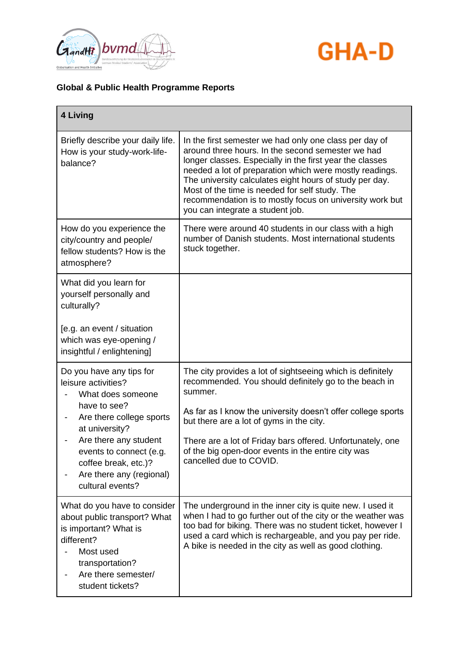



| 4 Living                                                                                                                                                                                                                                                                                   |                                                                                                                                                                                                                                                                                                                                                                                                                                                 |
|--------------------------------------------------------------------------------------------------------------------------------------------------------------------------------------------------------------------------------------------------------------------------------------------|-------------------------------------------------------------------------------------------------------------------------------------------------------------------------------------------------------------------------------------------------------------------------------------------------------------------------------------------------------------------------------------------------------------------------------------------------|
| Briefly describe your daily life.<br>How is your study-work-life-<br>balance?                                                                                                                                                                                                              | In the first semester we had only one class per day of<br>around three hours. In the second semester we had<br>longer classes. Especially in the first year the classes<br>needed a lot of preparation which were mostly readings.<br>The university calculates eight hours of study per day.<br>Most of the time is needed for self study. The<br>recommendation is to mostly focus on university work but<br>you can integrate a student job. |
| How do you experience the<br>city/country and people/<br>fellow students? How is the<br>atmosphere?                                                                                                                                                                                        | There were around 40 students in our class with a high<br>number of Danish students. Most international students<br>stuck together.                                                                                                                                                                                                                                                                                                             |
| What did you learn for<br>yourself personally and<br>culturally?<br>[e.g. an event / situation<br>which was eye-opening /<br>insightful / enlightening]                                                                                                                                    |                                                                                                                                                                                                                                                                                                                                                                                                                                                 |
| Do you have any tips for<br>leisure activities?<br>What does someone<br>have to see?<br>Are there college sports<br>$\overline{\phantom{a}}$<br>at university?<br>Are there any student<br>events to connect (e.g.<br>coffee break, etc.)?<br>Are there any (regional)<br>cultural events? | The city provides a lot of sightseeing which is definitely<br>recommended. You should definitely go to the beach in<br>summer.<br>As far as I know the university doesn't offer college sports<br>but there are a lot of gyms in the city.<br>There are a lot of Friday bars offered. Unfortunately, one<br>of the big open-door events in the entire city was<br>cancelled due to COVID.                                                       |
| What do you have to consider<br>about public transport? What<br>is important? What is<br>different?<br>Most used<br>transportation?<br>Are there semester/<br>student tickets?                                                                                                             | The underground in the inner city is quite new. I used it<br>when I had to go further out of the city or the weather was<br>too bad for biking. There was no student ticket, however I<br>used a card which is rechargeable, and you pay per ride.<br>A bike is needed in the city as well as good clothing.                                                                                                                                    |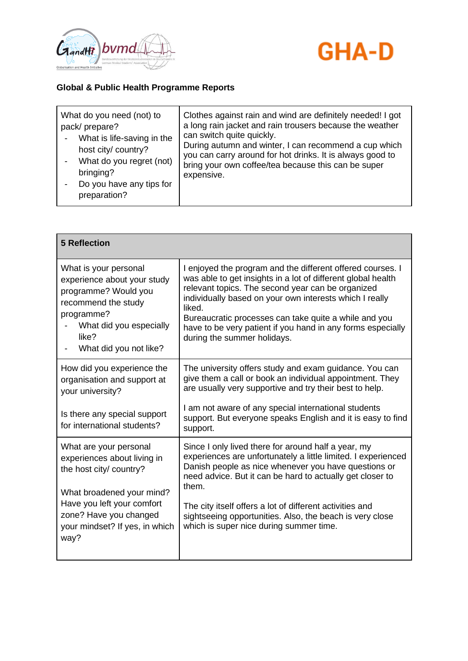



| What do you need (not) to<br>pack/prepare?<br>What is life-saving in the<br>host city/ country?<br>What do you regret (not)<br>bringing?<br>Do you have any tips for<br>preparation? | Clothes against rain and wind are definitely needed! I got<br>a long rain jacket and rain trousers because the weather<br>can switch quite quickly.<br>During autumn and winter, I can recommend a cup which<br>you can carry around for hot drinks. It is always good to<br>bring your own coffee/tea because this can be super<br>expensive. |
|--------------------------------------------------------------------------------------------------------------------------------------------------------------------------------------|------------------------------------------------------------------------------------------------------------------------------------------------------------------------------------------------------------------------------------------------------------------------------------------------------------------------------------------------|
|--------------------------------------------------------------------------------------------------------------------------------------------------------------------------------------|------------------------------------------------------------------------------------------------------------------------------------------------------------------------------------------------------------------------------------------------------------------------------------------------------------------------------------------------|

| <b>5 Reflection</b>                                                                                                                                                             |                                                                                                                                                                                                                                                                                                                                                                                                             |
|---------------------------------------------------------------------------------------------------------------------------------------------------------------------------------|-------------------------------------------------------------------------------------------------------------------------------------------------------------------------------------------------------------------------------------------------------------------------------------------------------------------------------------------------------------------------------------------------------------|
| What is your personal<br>experience about your study<br>programme? Would you<br>recommend the study<br>programme?<br>What did you especially<br>like?<br>What did you not like? | I enjoyed the program and the different offered courses. I<br>was able to get insights in a lot of different global health<br>relevant topics. The second year can be organized<br>individually based on your own interests which I really<br>liked.<br>Bureaucratic processes can take quite a while and you<br>have to be very patient if you hand in any forms especially<br>during the summer holidays. |
| How did you experience the<br>organisation and support at<br>your university?                                                                                                   | The university offers study and exam guidance. You can<br>give them a call or book an individual appointment. They<br>are usually very supportive and try their best to help.<br>I am not aware of any special international students                                                                                                                                                                       |
| Is there any special support<br>for international students?                                                                                                                     | support. But everyone speaks English and it is easy to find<br>support.                                                                                                                                                                                                                                                                                                                                     |
| What are your personal<br>experiences about living in<br>the host city/ country?<br>What broadened your mind?                                                                   | Since I only lived there for around half a year, my<br>experiences are unfortunately a little limited. I experienced<br>Danish people as nice whenever you have questions or<br>need advice. But it can be hard to actually get closer to<br>them.                                                                                                                                                          |
| Have you left your comfort<br>zone? Have you changed<br>your mindset? If yes, in which<br>way?                                                                                  | The city itself offers a lot of different activities and<br>sightseeing opportunities. Also, the beach is very close<br>which is super nice during summer time.                                                                                                                                                                                                                                             |